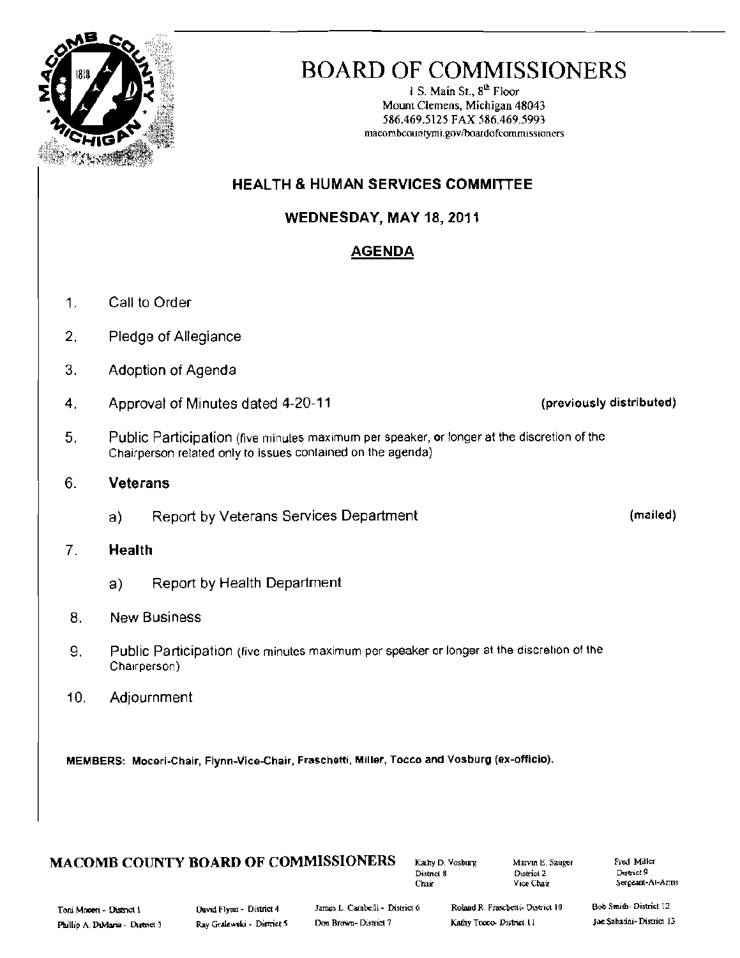

# BOARD OF COMMISSIONERS

1 S. Main St.,  $8<sup>th</sup>$  Floor Mount Clemens, Michigan 48043 586.469.5125 FAX 586.469.5993 macombcountymi.gov/boardofcommissioners

## HEALTH & HUMAN SERVICES COMMITTEE

WEDNESDAY, MAY 18, 2011

## **AGENDA**

- 1. Call to Order
- 2. Pledge of Allegiance
- 3. Adoption of Agenda
- 4. Approval of Minutes dated 4-20-11 (previously distributed)
- 5. Public Participation (five minutes maximum per speaker, or longer at the discretion of the Chairperson related only to issues contained on the agenda)

## 6. Veterans

a) Report by Veterans Services Department (mailed)

## 7. Health

a) Report by Health Department

## 8. New Business

- 9. Public Participation (five minutes maximum per speaker or longer at the discretion of the Chairperson)
- 10. Adjournment

MEMBERS: Moceri-Chair, Flynn-Vice-Chair, Fraschetti, Miller, Tocco and Vosburg (ex-officio).

## **MACOMB COUNTY BOARD OF COMMISSIONERS**  $\begin{array}{r}$ Kauhy D. Vosburg Marvin E. Sauger Fred Müller

District 2<br>Vice Chair

Chair - The Chair - Sergeant-At-Arms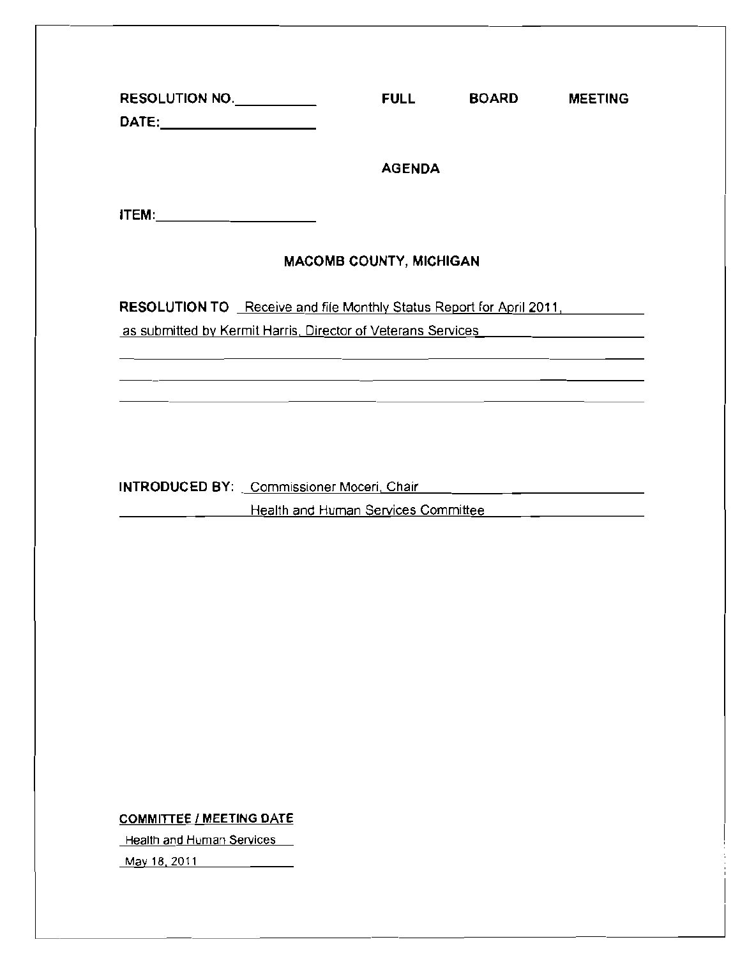| RESOLUTION NO.<br>DATE:________________________                                                                                                                                                           | <b>FULL</b>                                                                                                                                                                                                                                    | <b>BOARD</b> | <b>MEETING</b> |
|-----------------------------------------------------------------------------------------------------------------------------------------------------------------------------------------------------------|------------------------------------------------------------------------------------------------------------------------------------------------------------------------------------------------------------------------------------------------|--------------|----------------|
|                                                                                                                                                                                                           | <b>AGENDA</b>                                                                                                                                                                                                                                  |              |                |
| <b>ITEM:___________________________</b>                                                                                                                                                                   |                                                                                                                                                                                                                                                |              |                |
|                                                                                                                                                                                                           | <b>MACOMB COUNTY, MICHIGAN</b>                                                                                                                                                                                                                 |              |                |
| RESOLUTION TO Receive and file Monthly Status Report for April 2011,                                                                                                                                      |                                                                                                                                                                                                                                                |              |                |
| as submitted by Kermit Harris, Director of Veterans Services <b>Example 2018</b><br><u> 1989 - Andrea Andrea Andrea Andrea Andrea Andrea Andrea Andrea Andrea Andrea Andrea Andrea Andrea Andrea Andr</u> |                                                                                                                                                                                                                                                |              |                |
|                                                                                                                                                                                                           | <u> 1989 - Andrea Santa Galile, ann an t-Ann an t-Ann an t-Ann an t-Ann an t-Ann an t-Ann an t-Ann an t-Ann an t-</u><br><u> La construcción de la construcción de la construcción de la construcción de la construcción de la construcció</u> |              |                |
|                                                                                                                                                                                                           |                                                                                                                                                                                                                                                |              |                |
|                                                                                                                                                                                                           |                                                                                                                                                                                                                                                |              |                |
|                                                                                                                                                                                                           |                                                                                                                                                                                                                                                |              |                |
|                                                                                                                                                                                                           | Health and Human Services Committee _____ _______________                                                                                                                                                                                      |              |                |
|                                                                                                                                                                                                           |                                                                                                                                                                                                                                                |              |                |
|                                                                                                                                                                                                           |                                                                                                                                                                                                                                                |              |                |
|                                                                                                                                                                                                           |                                                                                                                                                                                                                                                |              |                |
|                                                                                                                                                                                                           |                                                                                                                                                                                                                                                |              |                |
|                                                                                                                                                                                                           |                                                                                                                                                                                                                                                |              |                |
|                                                                                                                                                                                                           |                                                                                                                                                                                                                                                |              |                |
|                                                                                                                                                                                                           |                                                                                                                                                                                                                                                |              |                |
|                                                                                                                                                                                                           |                                                                                                                                                                                                                                                |              |                |

COMMITTEE / MEETING DATE

**Health and Human Services** 

May 18, 2011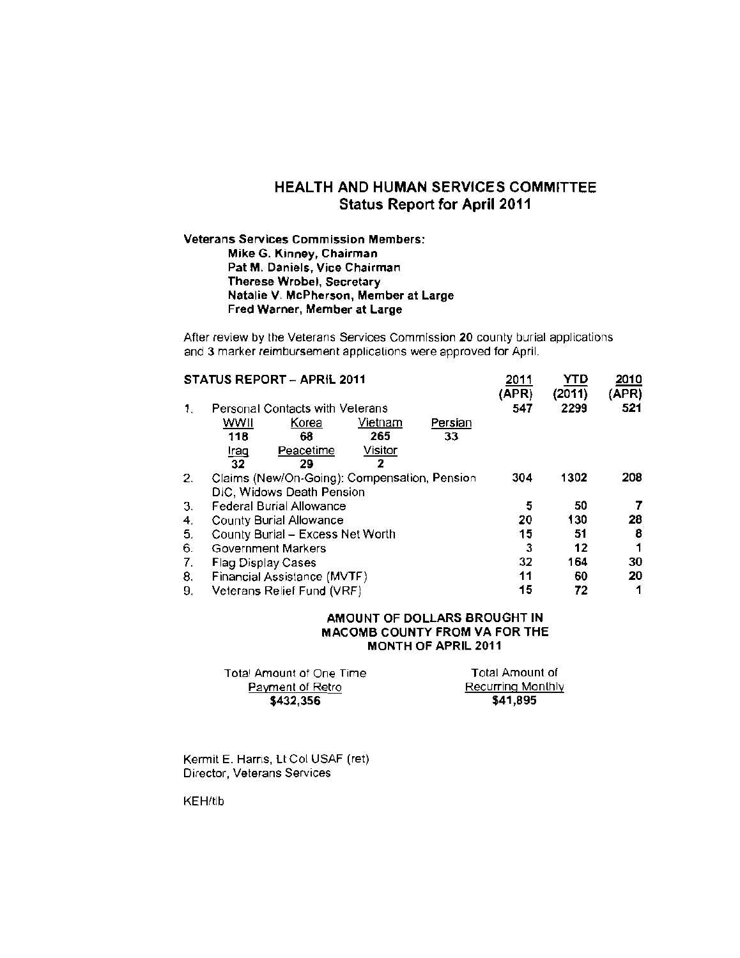### HEALTH AND HUMAN SERVICES COMMITTEE Status Report for April 2011

#### **Veterans Services Commission Members: Mike G. Kinney, Chairman Pat M. Daniels, Vice Chairman Therese Wrobel, Secretary Natalie V. McPherson, Member at Large Fred Warner, Member at Large**

After review by the Veterans Services Commission **20** county burial applications and 3 marker reimbursement applicalions were approved for April.

| <b>STATUS REPORT - APRIL 2011</b> |                                        |                                              |         |         | 2011<br>(APR) | YTD<br>(2011) | 2010<br>(APR) |
|-----------------------------------|----------------------------------------|----------------------------------------------|---------|---------|---------------|---------------|---------------|
| 1.                                | <b>Personal Contacts with Velerans</b> |                                              |         |         |               | 2299          | 521           |
|                                   | wwii                                   | Korea                                        | Vietnam | Persian |               |               |               |
|                                   | 118                                    | 68                                           | 265     | 33      |               |               |               |
|                                   | <u>Iraq</u>                            | Peacetime                                    | Visitor |         |               |               |               |
|                                   | 32                                     | 29                                           | 2       |         |               |               |               |
| 2.                                |                                        | Claims (New/On-Going): Compensation, Pension | 304     | 1302    | 208           |               |               |
|                                   | DIC, Widows Death Pension              |                                              |         |         |               |               |               |
| 3.                                | Federal Burial Allowance               |                                              |         |         | 5             | 50            |               |
| 4.                                | <b>County Burial Allowance</b>         |                                              |         |         |               | 130           | 28            |
| 5.                                | County Burial - Excess Net Worth       | 15                                           | 51      | 8       |               |               |               |
| 6.                                | Government Markers                     |                                              |         |         |               | 12            |               |
| 7.                                | Flag Display Cases                     |                                              |         |         |               | 164           | 30            |
| 8.                                | Financial Assistance (MVTF)            |                                              |         |         |               | 60            | 20            |
| 9.                                | Veterans Relief Fund (VRF)             |                                              |         |         |               | 72            | 1             |

#### **AMOUNT OF DOLLARS BROUGHT IN MACOMB COUNTY FROM VA FOR THE MONTH OF APRIL 2011**

| Total Amount of One Time | Total Amount of   |
|--------------------------|-------------------|
| Payment of Retro         | Recurring Monthly |
| \$432,356                | \$41,895          |

Kermit E. Harris, Lt Col USAF (ret) Director, Veterans Services

KEH/tib